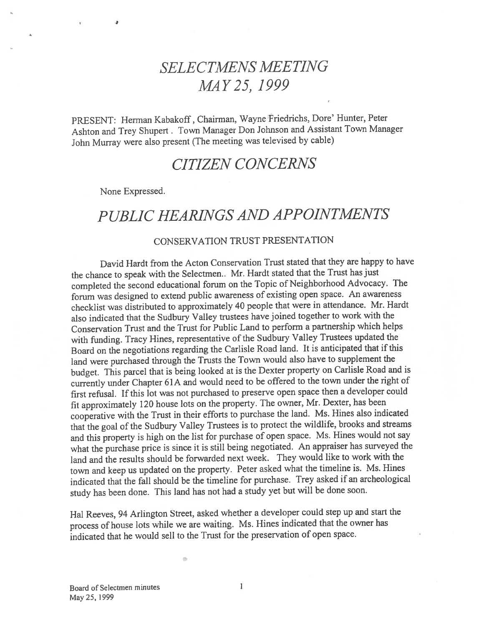# SELECTMENS MEETING MAY25, 1999

PRESENT: Herman Kabakoff, Chairman, Wayne friedrichs, Dore' Hunter, Peter Ashton and Trey Shupert. Town Manager Don Johnson and Assistant Town Manager John Murray were also presen<sup>t</sup> (The meeting was televised by cable)

## CITIZEN CONCERNS

None Expressed.

ł

# PUBLIC HEARINGS AND APPOINTMENTS

#### CONSERVATION TRUST PRESENTATION

David Hardt from the Acton Conservation Trust stated that they are happy to have the chance to spea<sup>k</sup> with the Selectmen.. Mr. Hardt stated that the Trust has just completed the second educational forum on the Topic of Neighborhood Advocacy. The forum was designed to extend public awareness of existing open space. An awareness checklist was distributed to approximately <sup>40</sup> people that were in attendance. Mr. Hardt also indicated that the Sudbury Valley trustees have joined together to work with the Conservation Trust and the Trust for Public Land to perform <sup>a</sup> partnership which helps with funding. Tracy Hines, representative of the Sudbury Valley Trustees updated the Board on the negotiations regarding the Carlisle Road land. It is anticipated that if this land were purchased through the Trusts the Town would also have to supplement the budget. This parce<sup>l</sup> that is being looked at is the Dexter property on Carlisle Road and is currently under Chapter 61A and would need to be offered to the town under the right of first refusal. Ifthis lot was not purchased to preserve open space then <sup>a</sup> developer could fit approximately <sup>120</sup> house lots on the property. The owner, Mr. Dexter, has been cooperative with the Trust in their efforts to purchase the land. Ms. Hines also indicated that the goal of the Sudbury Valley Trustees is to protect the wildlife, brooks and streams and this property is high on the list for purchase of open space. Ms. Hines would not say what the purchase price is since it is still being negotiated. An appraiser has surveye<sup>d</sup> the land and the results should be forwarded next week. They would like to work with the town and keep us updated on the property. Peter asked what the timeline is. Ms. Hines indicated that the fall should be the timeline for purchase. Trey asked if an archeological study has been done. This land has not had <sup>a</sup> study ye<sup>t</sup> but will be done soon.

Hal Reeves, <sup>94</sup> Arlington Street, asked whether <sup>a</sup> developer could step up and start the process of house lots while we are waiting. Ms. Hines indicated that the owner has indicated that he would sell to the Trust for the preservation of open space.

 $\circledcirc$ 

 $\mathbf{I}$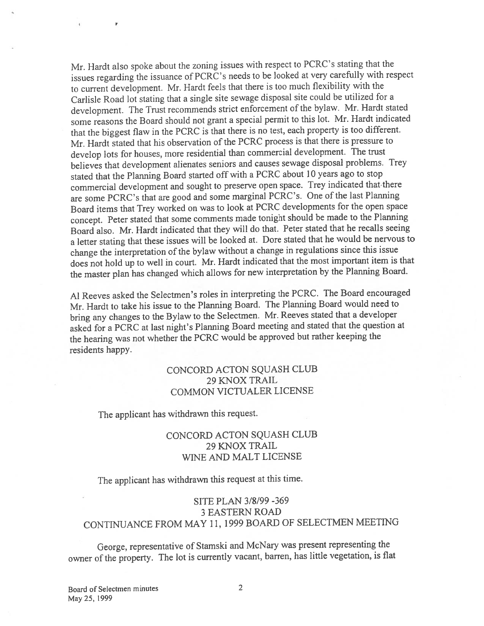Mr. Hardt also spoke about the zoning issues with respec<sup>t</sup> to PCRC's stating that the issues regarding the issuance of PCRC's needs to be looked at very carefully with respec<sup>t</sup> to current development. Mr. Hardt feels that there is too much flexibility with the Carlisle Road lot stating that <sup>a</sup> single site sewage disposal site could be utilized for <sup>a</sup> development. The Trust recommends strict enforcement of the bylaw. Mr. Hardt stated some reasons the Board should not gran<sup>t</sup> <sup>a</sup> special permit to this lot. Mr. Hardt indicated that the biggest flaw in the PCRC is that there is no test, each property is too different. Mr. Hardt stated that his observation of the PCRC process is that there is pressure to develop lots for houses, more residential than commercial development. The trust believes that development alienates seniors and causes sewage disposal problems. Trey stated that the Planning Board started off with <sup>a</sup> PCRC about <sup>10</sup> years ago to stop commercial development and sought to preserve open space. Trey indicated that there are some PCRC's that are goo<sup>d</sup> and some marginal PCRC's. One of the last Planning Board items that Trey worked on was to look at PCRC developments for the open space concept. Peter stated that some comments made tonight should be made to the Planning Board also. Mr. Hardt indicated that they will do that. Peter stated that he recalls seeing <sup>a</sup> letter stating that these issues will be looked at. Dore stated that he would be nervous to change the interpretation of the bylaw without <sup>a</sup> change in regulations since this issue does not hold up to well in court. Mr. Hardt indicated that the most important item is that the master <sup>p</sup>lan has changed which allows for new interpretation by the Planning Board.

Al Reeves asked the Selectmen's roles in interpreting the PCRC. The Board encourage<sup>d</sup> Mr. Hardt to take his issue to the Planning Board. The Planning Board would need to bring any changes to the Bylaw to the Selectmen. Mr. Reeves stated that <sup>a</sup> developer asked for <sup>a</sup> PCRC at last night's Planning Board meeting and stated that the question at the hearing was not whether the PCRC would be approve<sup>d</sup> but rather keeping the residents happy.

### CONCORD ACTON SQUASH CLUB 29 KNOX TRAIL COMMON VICTUALER LICENSE

The applicant has withdrawn this request.

### CONCORD ACTON SQUASH CLUB 29 KNOX TRAIL WINE AND MALT LICENSE

### The applicant has withdrawn this reques<sup>t</sup> at this time.

### SITE PLAN 3/8/99 -369 3 EASTERN ROAD CONTINUANCE FROM MAY 11, <sup>1999</sup> BOARD OF SELECTMEN MEETING

George, representative of Stamski and McNary was presen<sup>t</sup> representing the owner of the property. The lot is currently vacant, barren, has little vegetation, is flat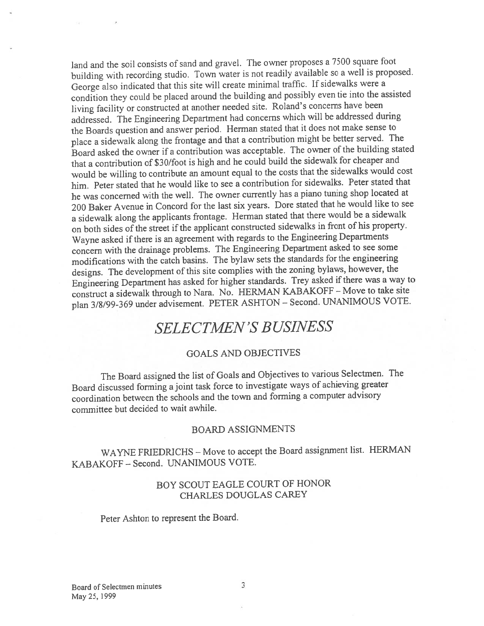land and the soil consists of sand and gravel. The owner proposes <sup>a</sup> <sup>7500</sup> square foot building with recording studio. Town water is not readily available so <sup>a</sup> well is proposed. George also indicated that this site will create minimal traffic. If sidewalks were <sup>a</sup> condition they could be <sup>p</sup>laced around the building and possibly even tie into the assisted living facility or constructed at another needed site. Roland's concerns have been addressed. The Engineering Department had concerns which will be addressed during the Boards question and answer period. Herman stated that it does not make sense to <sup>p</sup>lace <sup>a</sup> sidewalk along the frontage and that <sup>a</sup> contribution might be better served. The Board asked the owner if <sup>a</sup> contribution was acceptable. The owner of the building stated that <sup>a</sup> contribution of \$30/foot is high and he could build the sidewalk for cheaper and would be willing to contribute an amount equa<sup>l</sup> to the costs that the sidewalks would cost him. Peter stated that he would like to see <sup>a</sup> contribution for sidewalks. Peter stated that he was concerned with the well. The owner currently has <sup>a</sup> <sup>p</sup>iano tuning shop located at <sup>200</sup> Baker Avenue in Concord for the last six years. Dore stated that he would like to see <sup>a</sup> sidewalk along the applicants frontage. Herman stated that there would be <sup>a</sup> sidewalk on both sides of the street if the applicant constructed sidewalks in front of his property. Wayne asked if there is an agreement with regards to the Engineering Departments concern with the drainage problems. The Engineering Department asked to see some modifications with the catch basins. The bylaw sets the standards for the engineering designs. The development of this site complies with the zoning bylaws, however, the Engineering Department has asked for higher standards. Trey asked if there was <sup>a</sup> way to construct <sup>a</sup> sidewalk through to Nara. No. HERMAN KABAKOFF — Move to take site plan 3/8/99-369 under advisement. PETER ASHTON - Second. UNANIMOUS VOTE.

## SELECTMEN'S BUSINESS

#### GOALS AND OBJECTIVES

The Board assigned the list of Goals and Objectives to various Selectmen. The Board discussed forming <sup>a</sup> joint task force to investigate ways of achieving greater coordination between the schools and the town and forming <sup>a</sup> computer advisory committee but decided to wait awhile.

#### BOARD ASSIGNMENTS

WAYNE FRIEDRICHS — Move to accep<sup>t</sup> the Board assignment list. HERMAN KABAKOFF -Second. UNANIMOUS VOTE.

#### BOY SCOUT EAGLE COURT Of HONOR CHARLES DOUGLAS CAREY

Peter Ashton to represen<sup>t</sup> the Board.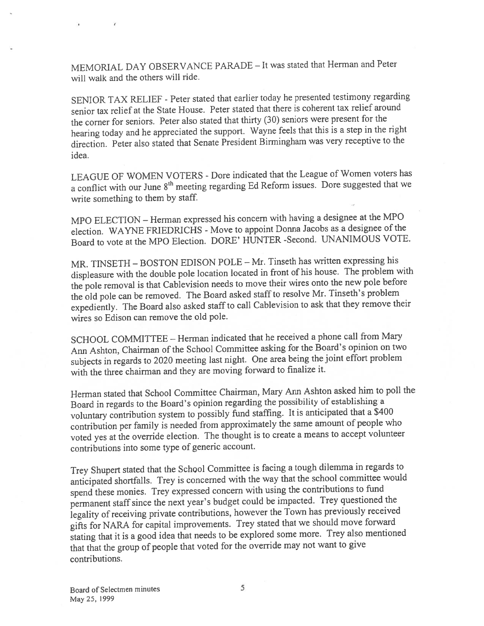MEMORIAL DAY OBSERVANCE PARADE - It was stated that Herman and Peter will walk and the others will ride.

SENIOR TAX RELIEF - Peter stated that earlier today he presented testimony regarding senior tax relief at the State House. Peter stated that there is coherent tax relief around the corner for seniors. Peter also stated that thirty (30) seniors were presen<sup>t</sup> for the hearing today and he appreciated the support. Wayne feels that this is <sup>a</sup> step in the right direction. Peter also stated that Senate President Birmingham was very receptive to the idea.

LEAGUE OF WOMEN VOTERS -Dore indicated that the League of Women voters has a conflict with our June 8<sup>th</sup> meeting regarding Ed Reform issues. Dore suggested that we write something to them by staff.

MPO ELECTION — Herman expresse<sup>d</sup> his concern with having <sup>a</sup> designee at the MPO election. WAYNE FRIEDRICHS - Move to appoint Donna Jacobs as a designee of the Board to vote at the MPO Election. DORE' HUNTER -Second. UNANIMOUS VOTE.

MR. TINSETH – BOSTON EDISON POLE – Mr. Tinseth has written expressing his displeasure with the double pole location located in front of his house. The problem with the pole removal is that Cablevision needs to move their wires onto the new pole before the old pole can be removed. The Board asked staff to resolve Mr. Tinseth's problem expediently. The Board also asked staff to call Cablevision to ask that they remove their wires so Edison can remove the old pole.

SCHOOL COMMITTEE — Herman indicated that he received <sup>a</sup> <sup>p</sup>hone call from Mary Ann Ashton, Chairman of the School Committee asking for the Board's opinion on two subjects in regards to <sup>2020</sup> meeting last night. One area being the joint effort problem with the three chairman and they are moving forward to finalize it.

Herman stated that School Committee Chairman, Mary Ann Ashton asked him to poll the Board in regards to the Board's opinion regarding the possibility of establishing <sup>a</sup> voluntary contribution system to possibly fund staffing. It is anticipated that <sup>a</sup> \$400 contribution per family is needed from approximately the same amount of people who voted yes at the override election. The thought is to create <sup>a</sup> means to accep<sup>t</sup> volunteer contributions into some type of generic account.

Trey Shupert stated that the School Committee is facing <sup>a</sup> tough dilemma in regards to anticipated shortfalls. Trey is concerned with the way that the school committee would spen<sup>d</sup> these monies. Trey expresse<sup>d</sup> concern with using the contributions to fund permanen<sup>t</sup> staff since the next year's budget could be impacted. Trey questioned the legality of receiving private contributions, however the Town has previously received <sup>g</sup>ifts for NARA for capital improvements. Trey stated that we should move forward stating that it is <sup>a</sup> goo<sup>d</sup> idea that needs to be explored some more. Trey also mentioned that that the group of people that voted for the override may not want to <sup>g</sup>ive contributions.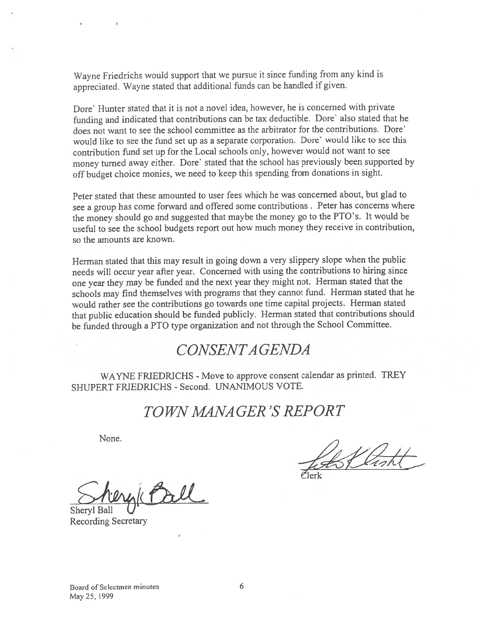Wayne Friedrichs would suppor<sup>t</sup> that we pursue it since funding from any kind is appreciated. Wayne stated that additional funds can be handled if <sup>g</sup>iven.

Dore' Hunter stated that it is not <sup>a</sup> novel idea, however, he is concerned with private funding and indicated that contributions can be tax deductible. Dore' also stated that he does not want to see the school committee as the arbitrator for the contributions. Dore' would like to see the fund set up as <sup>a</sup> separate corporation. Dore' would like to see this contribution fund set up for the Local schools only, however would not want to see money turned away either. Dore' stated that the school has previously been supported by off budget choice monies, we need to keep this spending from donations in sight.

Peter stated that these amounted to user fees which he was concerned about, but glad to see <sup>a</sup> group has come forward and offered some contributions. Peter has concerns where the money should go and suggested that maybe the money go to the PTO's. It would be useful to see the school budgets repor<sup>t</sup> out how much money they receive in contribution, so the amounts are known.

Herman stated that this may result in going down <sup>a</sup> very slippery slope when the public needs will occur year after year. Concerned with using the contributions to hiring since one year they may be funded and the next year they might not. Herman stated that the schools may find themselves with programs that they cannot fund. Herman stated that he would rather see the contributions go towards one time capital projects. Herman stated that public education should be funded publicly. Herman stated that contributions should be funded through a PTO type organization and not through the School Committee.

# CONSENTA GENDA

WAYNE FRIEDRICHS - Move to approve consent calendar as printed. TREY SHUPERT FRIEDRICHS - Second. UNANIMOUS VOTE.

# TOWN MANAGER'S REPORT

None.

Sheryl Ball Recording Secretary